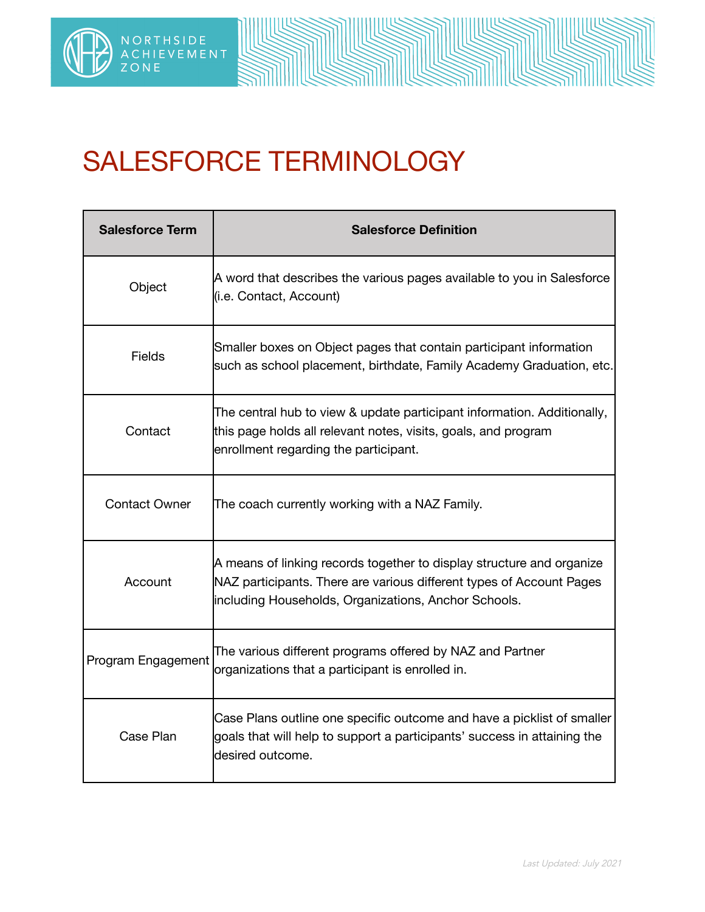

## SALESFORCE TERMINOLOGY

| <b>Salesforce Term</b> | <b>Salesforce Definition</b>                                                                                                                                                                          |
|------------------------|-------------------------------------------------------------------------------------------------------------------------------------------------------------------------------------------------------|
| Object                 | A word that describes the various pages available to you in Salesforce<br>(i.e. Contact, Account)                                                                                                     |
| <b>Fields</b>          | Smaller boxes on Object pages that contain participant information<br>such as school placement, birthdate, Family Academy Graduation, etc.                                                            |
| Contact                | The central hub to view & update participant information. Additionally,<br>this page holds all relevant notes, visits, goals, and program<br>enrollment regarding the participant.                    |
| <b>Contact Owner</b>   | The coach currently working with a NAZ Family.                                                                                                                                                        |
| Account                | A means of linking records together to display structure and organize<br>NAZ participants. There are various different types of Account Pages<br>including Households, Organizations, Anchor Schools. |
| Program Engagement     | The various different programs offered by NAZ and Partner<br>organizations that a participant is enrolled in.                                                                                         |
| Case Plan              | Case Plans outline one specific outcome and have a picklist of smaller<br>goals that will help to support a participants' success in attaining the<br>ldesired outcome.                               |